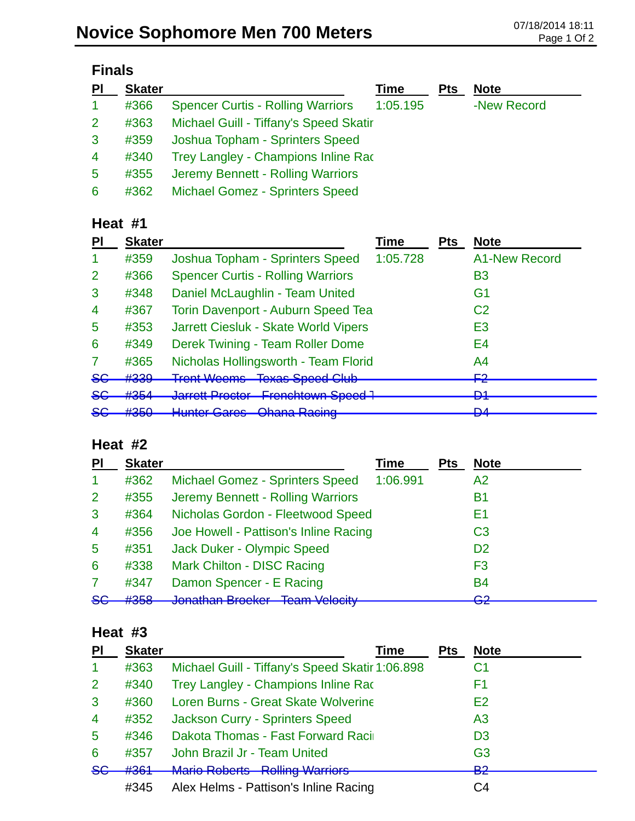| <b>Finals</b>   |               |                                          |          |            |             |
|-----------------|---------------|------------------------------------------|----------|------------|-------------|
| PI              | <b>Skater</b> |                                          | Time     | <b>Pts</b> | <b>Note</b> |
| 1               | #366          | <b>Spencer Curtis - Rolling Warriors</b> | 1:05.195 |            | -New Record |
| $\overline{2}$  | #363          | Michael Guill - Tiffany's Speed Skatir   |          |            |             |
| 3               | #359          | Joshua Topham - Sprinters Speed          |          |            |             |
| $\overline{4}$  | #340          | Trey Langley - Champions Inline Rac      |          |            |             |
| $5\overline{)}$ | #355          | Jeremy Bennett - Rolling Warriors        |          |            |             |
| 6               | #362          | <b>Michael Gomez - Sprinters Speed</b>   |          |            |             |

#### **Heat #1**

| <b>Skater</b>            |                                                                | Time                                                     | <b>Pts</b>                                                                                                              | <b>Note</b>          |
|--------------------------|----------------------------------------------------------------|----------------------------------------------------------|-------------------------------------------------------------------------------------------------------------------------|----------------------|
| #359                     | Joshua Topham - Sprinters Speed                                | 1:05.728                                                 |                                                                                                                         | <b>A1-New Record</b> |
| #366                     | <b>Spencer Curtis - Rolling Warriors</b>                       |                                                          |                                                                                                                         | B3                   |
| #348                     | Daniel McLaughlin - Team United                                |                                                          |                                                                                                                         | G1                   |
| #367                     |                                                                |                                                          |                                                                                                                         | C <sub>2</sub>       |
| #353                     | Jarrett Ciesluk - Skate World Vipers                           |                                                          |                                                                                                                         | E3                   |
| #349                     | Derek Twining - Team Roller Dome                               |                                                          |                                                                                                                         | E4                   |
| #365                     |                                                                |                                                          |                                                                                                                         | A4                   |
| H220<br><del>11000</del> | Trant Waame Tavoe Chaad Club<br><del>itoni vvodno</del>        |                                                          |                                                                                                                         | ⊏า<br>┎ <del>ፘ</del> |
| $H$ 25 $A$<br>11 J J H   | <b>VALLUIT TUULUI</b>                                          |                                                          |                                                                                                                         | D1<br>▱              |
| 4050<br>ᡣ᠊ᠣᠣᠥ            | <u> Huntar Caros - Obana Daoina</u><br><del>nuntor Caros</del> |                                                          |                                                                                                                         | D.A<br>▱             |
|                          |                                                                | 10λα <del>σ Ορσοα Οια</del> ρ<br><b>Unding INGUILITY</b> | <b>Torin Davenport - Auburn Speed Tea</b><br>Nicholas Hollingsworth - Team Florid<br>Jarrett Proctor Frenchtown Speed 1 |                      |

### **Heat #2**

| PI                   | <b>Skater</b>                        |                                                          | <b>Time</b> | <b>Pts</b> | <b>Note</b>    |
|----------------------|--------------------------------------|----------------------------------------------------------|-------------|------------|----------------|
| $\blacktriangleleft$ | #362                                 | <b>Michael Gomez - Sprinters Speed</b>                   | 1:06.991    |            | A2             |
| 2                    | #355                                 | Jeremy Bennett - Rolling Warriors                        |             |            | B1             |
| 3                    | #364                                 | Nicholas Gordon - Fleetwood Speed                        |             |            | Ε1             |
| $\overline{4}$       | #356                                 | Joe Howell - Pattison's Inline Racing                    |             |            | C <sub>3</sub> |
| 5                    | #351                                 | Jack Duker - Olympic Speed                               |             |            | D <sub>2</sub> |
| 6                    | #338                                 | <b>Mark Chilton - DISC Racing</b>                        |             |            | F <sub>3</sub> |
| 7                    | #347                                 | Damon Spencer - E Racing                                 |             |            | <b>B4</b>      |
| 86                   | H <sub>2E<sub>0</sub></sub><br>ᡣ᠊ᠣᠣᠥ | Innathan Progler Toam Valority<br><u>uunaman Druunur</u> |             |            | ററ<br>ॼॾ       |

### **Heat #3**

| PI             | <b>Skater</b> | Time                                            | <b>Pts</b> | <b>Note</b>       |
|----------------|---------------|-------------------------------------------------|------------|-------------------|
| -1             | #363          | Michael Guill - Tiffany's Speed Skatir 1:06.898 |            | C1                |
| 2              | #340          | Trey Langley - Champions Inline Rac             |            | F1                |
| $\mathbf{3}$   | #360          | Loren Burns - Great Skate Wolverine             |            | E2                |
| $\overline{4}$ | #352          | Jackson Curry - Sprinters Speed                 |            | A <sub>3</sub>    |
| 5              | #346          | Dakota Thomas - Fast Forward Raci               |            | D <sub>3</sub>    |
| 6              | #357          | John Brazil Jr - Team United                    |            | G <sub>3</sub>    |
| $5$            | #364          | Mario Poborte - Polling Warriore                |            | <u>മാ</u><br>e za |
|                | #345          | Alex Helms - Pattison's Inline Racing           |            | C4                |